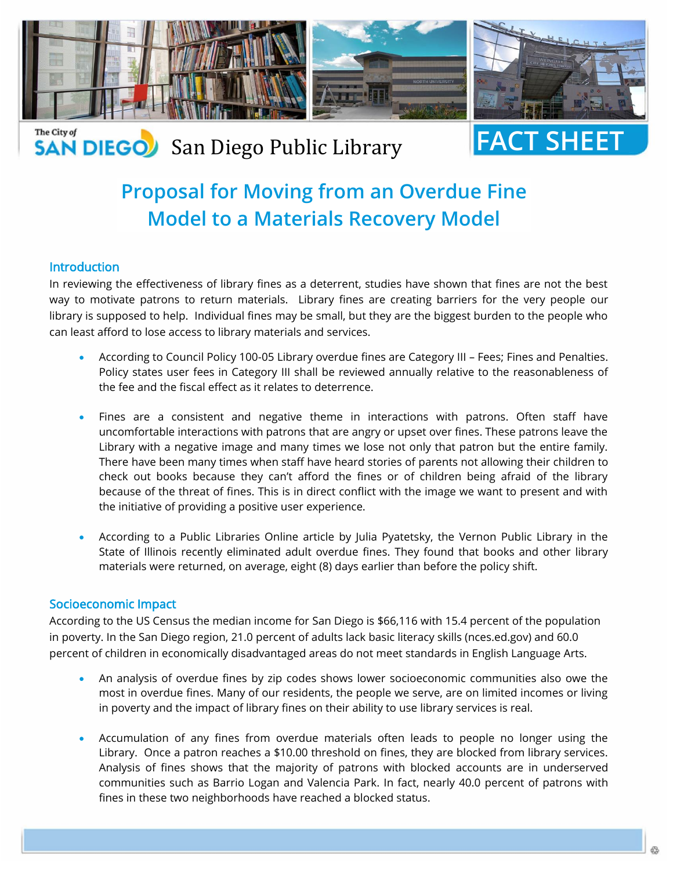

### The City of **SAN DIEGO** San Diego Public Library

# **FACT SHEE**

## **Proposal for Moving from an Overdue Fine Model to a Materials Recovery Model**

#### **Introduction**

In reviewing the effectiveness of library fines as a deterrent, studies have shown that fines are not the best way to motivate patrons to return materials. Library fines are creating barriers for the very people our library is supposed to help. Individual fines may be small, but they are the biggest burden to the people who can least afford to lose access to library materials and services.

- According to Council Policy 100-05 Library overdue fines are Category III Fees; Fines and Penalties. Policy states user fees in Category III shall be reviewed annually relative to the reasonableness of the fee and the fiscal effect as it relates to deterrence.
- Fines are a consistent and negative theme in interactions with patrons. Often staff have uncomfortable interactions with patrons that are angry or upset over fines. These patrons leave the Library with a negative image and many times we lose not only that patron but the entire family. There have been many times when staff have heard stories of parents not allowing their children to check out books because they can't afford the fines or of children being afraid of the library because of the threat of fines. This is in direct conflict with the image we want to present and with the initiative of providing a positive user experience.
- According to a Public Libraries Online article by Julia Pyatetsky, the Vernon Public Library in the State of Illinois recently eliminated adult overdue fines. They found that books and other library materials were returned, on average, eight (8) days earlier than before the policy shift.

#### Socioeconomic Impact

According to the US Census the median income for San Diego is \$66,116 with 15.4 percent of the population in poverty. In the San Diego region, 21.0 percent of adults lack basic literacy skills (nces.ed.gov) and 60.0 percent of children in economically disadvantaged areas do not meet standards in English Language Arts.

- An analysis of overdue fines by zip codes shows lower socioeconomic communities also owe the most in overdue fines. Many of our residents, the people we serve, are on limited incomes or living in poverty and the impact of library fines on their ability to use library services is real.
- Accumulation of any fines from overdue materials often leads to people no longer using the Library. Once a patron reaches a \$10.00 threshold on fines, they are blocked from library services. Analysis of fines shows that the majority of patrons with blocked accounts are in underserved communities such as Barrio Logan and Valencia Park. In fact, nearly 40.0 percent of patrons with fines in these two neighborhoods have reached a blocked status.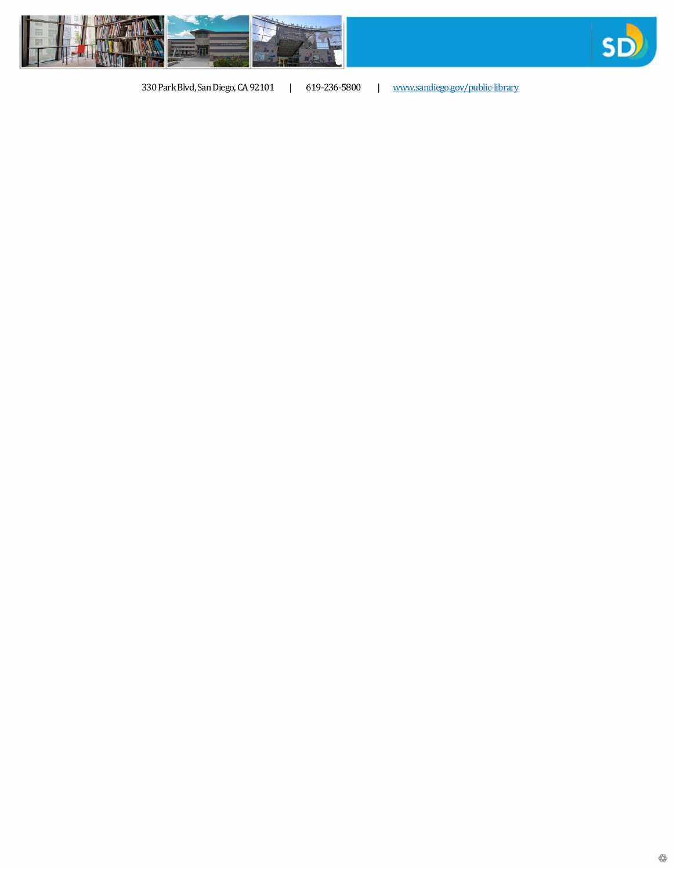



330 Park Blvd, San Diego, CA 92101 | 619-236-5800 | [www.sandiego.gov/public-library](http://www.sandiego.gov/public-library)

₩